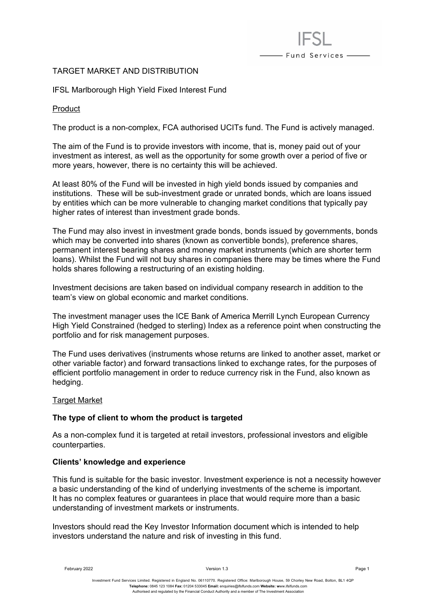# TARGET MARKET AND DISTRIBUTION

IFSL Marlborough High Yield Fixed Interest Fund

Product

The product is a non-complex, FCA authorised UCITs fund. The Fund is actively managed.

- Fund Services -

The aim of the Fund is to provide investors with income, that is, money paid out of your investment as interest, as well as the opportunity for some growth over a period of five or more years, however, there is no certainty this will be achieved.

At least 80% of the Fund will be invested in high yield bonds issued by companies and institutions. These will be sub-investment grade or unrated bonds, which are loans issued by entities which can be more vulnerable to changing market conditions that typically pay higher rates of interest than investment grade bonds.

The Fund may also invest in investment grade bonds, bonds issued by governments, bonds which may be converted into shares (known as convertible bonds), preference shares, permanent interest bearing shares and money market instruments (which are shorter term loans). Whilst the Fund will not buy shares in companies there may be times where the Fund holds shares following a restructuring of an existing holding.

Investment decisions are taken based on individual company research in addition to the team's view on global economic and market conditions.

The investment manager uses the ICE Bank of America Merrill Lynch European Currency High Yield Constrained (hedged to sterling) Index as a reference point when constructing the portfolio and for risk management purposes.

The Fund uses derivatives (instruments whose returns are linked to another asset, market or other variable factor) and forward transactions linked to exchange rates, for the purposes of efficient portfolio management in order to reduce currency risk in the Fund, also known as hedging.

# Target Market

# **The type of client to whom the product is targeted**

As a non-complex fund it is targeted at retail investors, professional investors and eligible counterparties.

#### **Clients' knowledge and experience**

This fund is suitable for the basic investor. Investment experience is not a necessity however a basic understanding of the kind of underlying investments of the scheme is important. It has no complex features or guarantees in place that would require more than a basic understanding of investment markets or instruments.

Investors should read the Key Investor Information document which is intended to help investors understand the nature and risk of investing in this fund.